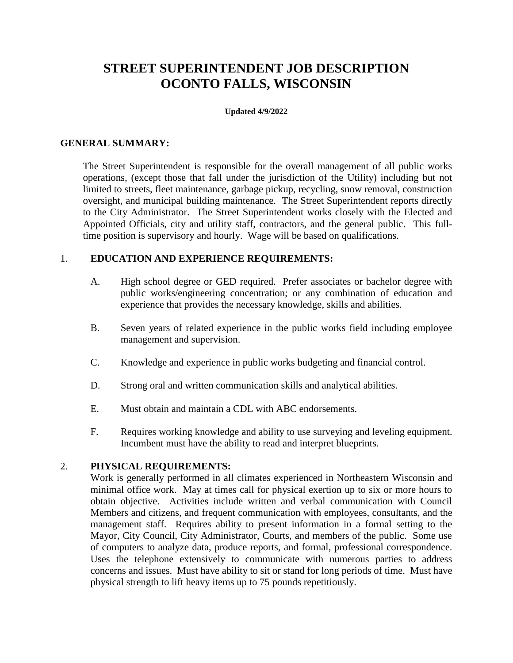# **STREET SUPERINTENDENT JOB DESCRIPTION OCONTO FALLS, WISCONSIN**

#### **Updated 4/9/2022**

### **GENERAL SUMMARY:**

The Street Superintendent is responsible for the overall management of all public works operations, (except those that fall under the jurisdiction of the Utility) including but not limited to streets, fleet maintenance, garbage pickup, recycling, snow removal, construction oversight, and municipal building maintenance. The Street Superintendent reports directly to the City Administrator. The Street Superintendent works closely with the Elected and Appointed Officials, city and utility staff, contractors, and the general public. This fulltime position is supervisory and hourly. Wage will be based on qualifications.

# 1. **EDUCATION AND EXPERIENCE REQUIREMENTS:**

- A. High school degree or GED required. Prefer associates or bachelor degree with public works/engineering concentration; or any combination of education and experience that provides the necessary knowledge, skills and abilities.
- B. Seven years of related experience in the public works field including employee management and supervision.
- C. Knowledge and experience in public works budgeting and financial control.
- D. Strong oral and written communication skills and analytical abilities.
- E. Must obtain and maintain a CDL with ABC endorsements.
- F. Requires working knowledge and ability to use surveying and leveling equipment. Incumbent must have the ability to read and interpret blueprints.

### 2. **PHYSICAL REQUIREMENTS:**

Work is generally performed in all climates experienced in Northeastern Wisconsin and minimal office work. May at times call for physical exertion up to six or more hours to obtain objective. Activities include written and verbal communication with Council Members and citizens, and frequent communication with employees, consultants, and the management staff. Requires ability to present information in a formal setting to the Mayor, City Council, City Administrator, Courts, and members of the public. Some use of computers to analyze data, produce reports, and formal, professional correspondence. Uses the telephone extensively to communicate with numerous parties to address concerns and issues. Must have ability to sit or stand for long periods of time. Must have physical strength to lift heavy items up to 75 pounds repetitiously.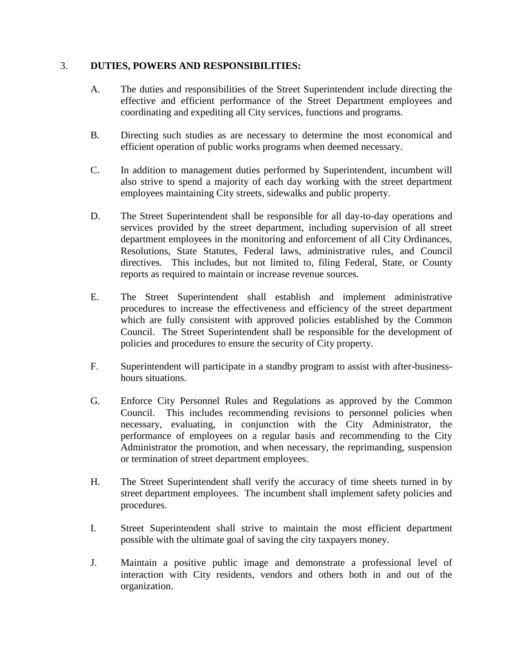# 3. **DUTIES, POWERS AND RESPONSIBILITIES:**

- A. The duties and responsibilities of the Street Superintendent include directing the effective and efficient performance of the Street Department employees and coordinating and expediting all City services, functions and programs.
- B. Directing such studies as are necessary to determine the most economical and efficient operation of public works programs when deemed necessary.
- C. In addition to management duties performed by Superintendent, incumbent will also strive to spend a majority of each day working with the street department employees maintaining City streets, sidewalks and public property.
- D. The Street Superintendent shall be responsible for all day-to-day operations and services provided by the street department, including supervision of all street department employees in the monitoring and enforcement of all City Ordinances, Resolutions, State Statutes, Federal laws, administrative rules, and Council directives. This includes, but not limited to, filing Federal, State, or County reports as required to maintain or increase revenue sources.
- E. The Street Superintendent shall establish and implement administrative procedures to increase the effectiveness and efficiency of the street department which are fully consistent with approved policies established by the Common Council. The Street Superintendent shall be responsible for the development of policies and procedures to ensure the security of City property.
- F. Superintendent will participate in a standby program to assist with after-businesshours situations.
- G. Enforce City Personnel Rules and Regulations as approved by the Common Council. This includes recommending revisions to personnel policies when necessary, evaluating, in conjunction with the City Administrator, the performance of employees on a regular basis and recommending to the City Administrator the promotion, and when necessary, the reprimanding, suspension or termination of street department employees.
- H. The Street Superintendent shall verify the accuracy of time sheets turned in by street department employees. The incumbent shall implement safety policies and procedures.
- I. Street Superintendent shall strive to maintain the most efficient department possible with the ultimate goal of saving the city taxpayers money.
- J. Maintain a positive public image and demonstrate a professional level of interaction with City residents, vendors and others both in and out of the organization.